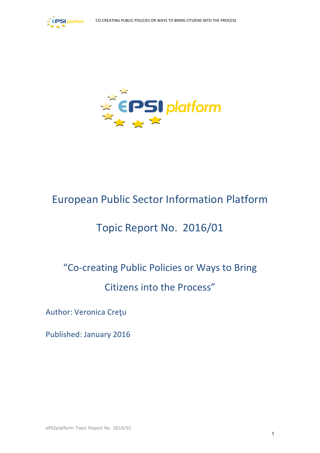



## European Public Sector Information Platform

# Topic Report No. 2016/01

# "Co-creating Public Policies or Ways to Bring Citizens into the Process"

Author: Veronica Creţu

Published: January 2016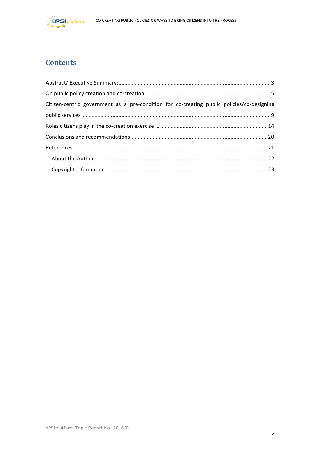

## **Contents**

| Citizen-centric government as a pre-condition for co-creating public policies/co-designing |  |
|--------------------------------------------------------------------------------------------|--|
|                                                                                            |  |
|                                                                                            |  |
|                                                                                            |  |
|                                                                                            |  |
|                                                                                            |  |
|                                                                                            |  |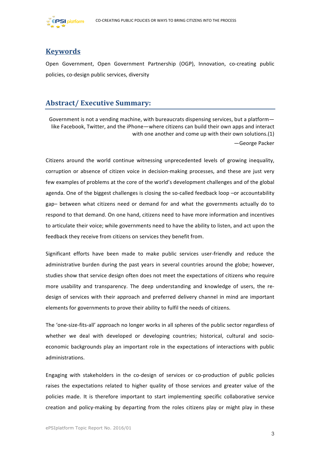

## **Keywords**

Open Government, Open Government Partnership (OGP), Innovation, co-creating public policies, co-design public services, diversity

## **Abstract/ Executive Summary:**

Government is not a vending machine, with bureaucrats dispensing services, but a platform like Facebook, Twitter, and the iPhone—where citizens can build their own apps and interact with one another and come up with their own solutions.(1) —George Packer

Citizens around the world continue witnessing unprecedented levels of growing inequality, corruption or absence of citizen voice in decision-making processes, and these are just very few examples of problems at the core of the world's development challenges and of the global agenda. One of the biggest challenges is closing the so-called feedback loop -or accountability gap– between what citizens need or demand for and what the governments actually do to respond to that demand. On one hand, citizens need to have more information and incentives to articulate their voice; while governments need to have the ability to listen, and act upon the feedback they receive from citizens on services they benefit from.

Significant efforts have been made to make public services user-friendly and reduce the administrative burden during the past years in several countries around the globe; however, studies show that service design often does not meet the expectations of citizens who require more usability and transparency. The deep understanding and knowledge of users, the redesign of services with their approach and preferred delivery channel in mind are important elements for governments to prove their ability to fulfil the needs of citizens.

The 'one-size-fits-all' approach no longer works in all spheres of the public sector regardless of whether we deal with developed or developing countries; historical, cultural and socioeconomic backgrounds play an important role in the expectations of interactions with public administrations. 

Engaging with stakeholders in the co-design of services or co-production of public policies raises the expectations related to higher quality of those services and greater value of the policies made. It is therefore important to start implementing specific collaborative service creation and policy-making by departing from the roles citizens play or might play in these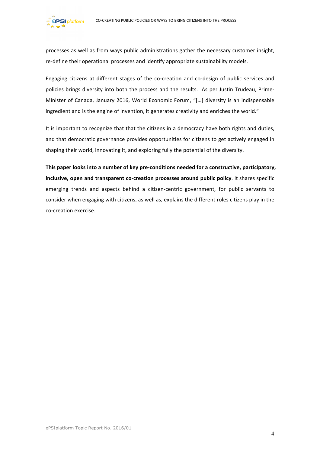processes as well as from ways public administrations gather the necessary customer insight, re-define their operational processes and identify appropriate sustainability models.

Engaging citizens at different stages of the co-creation and co-design of public services and policies brings diversity into both the process and the results. As per Justin Trudeau, Prime-Minister of Canada, January 2016, World Economic Forum, "[...] diversity is an indispensable ingredient and is the engine of invention, it generates creativity and enriches the world."

It is important to recognize that that the citizens in a democracy have both rights and duties, and that democratic governance provides opportunities for citizens to get actively engaged in shaping their world, innovating it, and exploring fully the potential of the diversity.

This paper looks into a number of key pre-conditions needed for a constructive, participatory, inclusive, open and transparent co-creation processes around public policy. It shares specific emerging trends and aspects behind a citizen-centric government, for public servants to consider when engaging with citizens, as well as, explains the different roles citizens play in the co-creation exercise.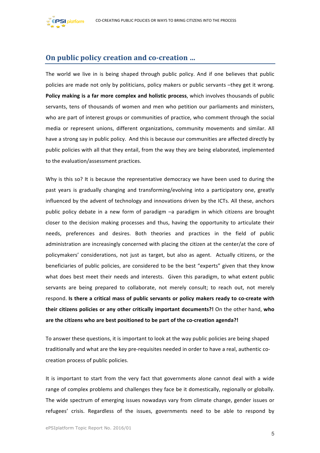



## **On public policy creation and co-creation ...**

The world we live in is being shaped through public policy. And if one believes that public policies are made not only by politicians, policy makers or public servants -they get it wrong. Policy making is a far more complex and holistic process, which involves thousands of public servants, tens of thousands of women and men who petition our parliaments and ministers, who are part of interest groups or communities of practice, who comment through the social media or represent unions, different organizations, community movements and similar. All have a strong say in public policy. And this is because our communities are affected directly by public policies with all that they entail, from the way they are being elaborated, implemented to the evaluation/assessment practices.

Why is this so? It is because the representative democracy we have been used to during the past years is gradually changing and transforming/evolving into a participatory one, greatly influenced by the advent of technology and innovations driven by the ICTs. All these, anchors public policy debate in a new form of paradigm  $-a$  paradigm in which citizens are brought closer to the decision making processes and thus, having the opportunity to articulate their needs, preferences and desires. Both theories and practices in the field of public administration are increasingly concerned with placing the citizen at the center/at the core of policymakers' considerations, not just as target, but also as agent. Actually citizens, or the beneficiaries of public policies, are considered to be the best "experts" given that they know what does best meet their needs and interests. Given this paradigm, to what extent public servants are being prepared to collaborate, not merely consult; to reach out, not merely respond. **Is there a critical mass of public servants or policy makers ready to co-create with their citizens policies or any other critically important documents?!** On the other hand, who are the citizens who are best positioned to be part of the co-creation agenda?!

To answer these questions, it is important to look at the way public policies are being shaped traditionally and what are the key pre-requisites needed in order to have a real, authentic cocreation process of public policies.

It is important to start from the very fact that governments alone cannot deal with a wide range of complex problems and challenges they face be it domestically, regionally or globally. The wide spectrum of emerging issues nowadays vary from climate change, gender issues or refugees' crisis. Regardless of the issues, governments need to be able to respond by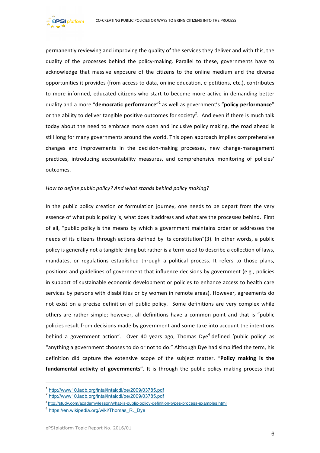

permanently reviewing and improving the quality of the services they deliver and with this, the quality of the processes behind the policy-making. Parallel to these, governments have to acknowledge that massive exposure of the citizens to the online medium and the diverse opportunities it provides (from access to data, online education, e-petitions, etc.), contributes to more informed, educated citizens who start to become more active in demanding better quality and a more "**democratic performance**"<sup>1</sup> as well as government's "**policy performance**" or the ability to deliver tangible positive outcomes for society<sup>2</sup>. And even if there is much talk today about the need to embrace more open and inclusive policy making, the road ahead is still long for many governments around the world. This open approach implies comprehensive changes and improvements in the decision-making processes, new change-management practices, introducing accountability measures, and comprehensive monitoring of policies' outcomes.

#### How to define public policy? And what stands behind policy making?

In the public policy creation or formulation journey, one needs to be depart from the very essence of what public policy is, what does it address and what are the processes behind. First of all, "public policy is the means by which a government maintains order or addresses the needs of its citizens through actions defined by its constitution"(3). In other words, a public policy is generally not a tangible thing but rather is a term used to describe a collection of laws, mandates, or regulations established through a political process. It refers to those plans, positions and guidelines of government that influence decisions by government (e.g., policies in support of sustainable economic development or policies to enhance access to health care services by persons with disabilities or by women in remote areas). However, agreements do not exist on a precise definition of public policy. Some definitions are very complex while others are rather simple; however, all definitions have a common point and that is "public policies result from decisions made by government and some take into account the intentions behind a government action". Over 40 years ago, Thomas Dye<sup>4</sup> defined 'public policy' as "anything a government chooses to do or not to do." Although Dye had simplified the term, his definition did capture the extensive scope of the subject matter. "Policy making is the **fundamental activity of governments".** It is through the public policy making process that

<u> 1989 - Jan Samuel Barbara, margaret e</u>

<sup>1</sup> http://www10.iadb.org/intal/intalcdi/pe/2009/03785.pdf

<sup>2</sup> http://www10.iadb.org/intal/intalcdi/pe/2009/03785.pdf

<sup>&</sup>lt;sup>3</sup> http://study.com/academy/lesson/what-is-public-policy-definition-types-process-examples.html

<sup>&</sup>lt;sup>4</sup> https://en.wikipedia.org/wiki/Thomas\_R.\_Dye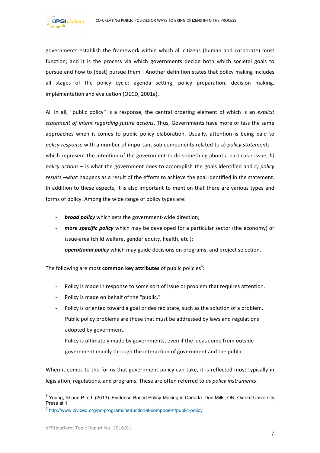governments establish the framework within which all citizens (human and corporate) must function; and it is the process via which governments decide both which societal goals to pursue and how to (best) pursue them<sup>5</sup>. Another definition states that policy making includes all stages of the policy cycle: agenda setting, policy preparation, decision making, implementation and evaluation (OECD, 2001a).

All in all, "public policy" is a response, the central ordering element of which is an *explicit* statement of intent regarding future actions. Thus, Governments have more or less the same approaches when it comes to public policy elaboration. Usually, attention is being paid to *policy response* with a number of important sub-components related to a) *policy statements* – which represent the intention of the government to do something about a particular issue, *b*) *policy* actions – is what the government does to accomplish the goals identified and *c)* policy results -what happens as a result of the efforts to achieve the goal identified in the statement. In addition to these aspects, it is also important to mention that there are various types and forms of policy. Among the wide range of policy types are:

- *broad policy* which sets the government-wide direction;
- *more specific policy* which may be developed for a particular sector (the economy) or issue-area (child welfare, gender equity, health, etc.);
- operational policy which may guide decisions on programs, and project selection.

The following are most **common key attributes** of public policies<sup>6</sup>:

- Policy is made in response to some sort of issue or problem that requires attention.
- Policy is made on behalf of the "public."
- Policy is oriented toward a goal or desired state, such as the solution of a problem. Public policy problems are those that must be addressed by laws and regulations adopted by government.
- Policy is ultimately made by governments, even if the ideas come from outside government mainly through the interaction of government and the public.

When it comes to the forms that government policy can take, it is reflected most typically in legislation, regulations, and programs. These are often referred to *as policy instruments*.

<sup>&</sup>lt;sup>5</sup> Young, Shaun P. ed. (2013). Evidence-Based Policy-Making in Canada. Don Mills, ON: Oxford University Press at 1

<sup>6</sup> http://www.civiced.org/pc-program/instructional-component/public-policy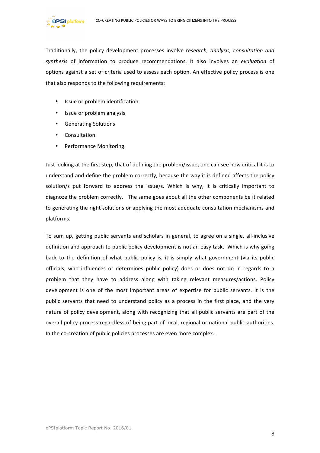

Traditionally, the policy development processes involve research, analysis, consultation and synthesis of information to produce recommendations. It also involves an *evaluation* of options against a set of criteria used to assess each option. An effective policy process is one that also responds to the following requirements:

- Issue or problem identification
- Issue or problem analysis
- Generating Solutions
- Consultation
- Performance Monitoring

Just looking at the first step, that of defining the problem/issue, one can see how critical it is to understand and define the problem correctly, because the way it is defined affects the policy solution/s put forward to address the issue/s. Which is why, it is critically important to diagnoze the problem correctly. The same goes about all the other components be it related to generating the right solutions or applying the most adequate consultation mechanisms and platforms. 

To sum up, getting public servants and scholars in general, to agree on a single, all-inclusive definition and approach to public policy development is not an easy task. Which is why going back to the definition of what public policy is, it is simply what government (via its public officials, who influences or determines public policy) does or does not do in regards to a problem that they have to address along with taking relevant measures/actions. Policy development is one of the most important areas of expertise for public servants. It is the public servants that need to understand policy as a process in the first place, and the very nature of policy development, along with recognizing that all public servants are part of the overall policy process regardless of being part of local, regional or national public authorities. In the co-creation of public policies processes are even more complex...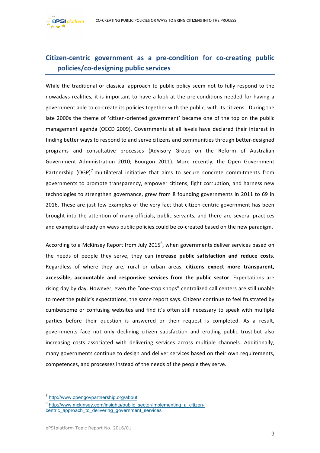

## **Citizen-centric government as a pre-condition for co-creating public policies/co-designing public services**

While the traditional or classical approach to public policy seem not to fully respond to the nowadays realities, it is important to have a look at the pre-conditions needed for having a government able to co-create its policies together with the public, with its citizens. During the late 2000s the theme of 'citizen-oriented government' became one of the top on the public management agenda (OECD 2009). Governments at all levels have declared their interest in finding better ways to respond to and serve citizens and communities through better-designed programs and consultative processes (Advisory Group on the Reform of Australian Government Administration 2010; Bourgon 2011). More recently, the Open Government Partnership  $(OGP)^7$  multilateral initiative that aims to secure concrete commitments from governments to promote transparency, empower citizens, fight corruption, and harness new technologies to strengthen governance, grew from 8 founding governments in 2011 to 69 in 2016. These are just few examples of the very fact that citizen-centric government has been brought into the attention of many officials, public servants, and there are several practices and examples already on ways public policies could be co-created based on the new paradigm.

According to a McKinsey Report from July 2015<sup>8</sup>, when governments deliver services based on the needs of people they serve, they can increase public satisfaction and reduce costs. Regardless of where they are, rural or urban areas, citizens expect more transparent, **accessible, accountable and responsive services from the public sector**. Expectations are rising day by day. However, even the "one-stop shops" centralized call centers are still unable to meet the public's expectations, the same report says. Citizens continue to feel frustrated by cumbersome or confusing websites and find it's often still necessary to speak with multiple parties before their question is answered or their request is completed. As a result, governments face not only declining citizen satisfaction and eroding public trust but also increasing costs associated with delivering services across multiple channels. Additionally, many governments continue to design and deliver services based on their own requirements, competences, and processes instead of the needs of the people they serve.

 <sup>7</sup> http://www.opengovpartnership.org/about

<sup>&</sup>lt;sup>8</sup> http://www.mckinsey.com/insights/public\_sector/implementing\_a\_citizencentric approach to delivering government services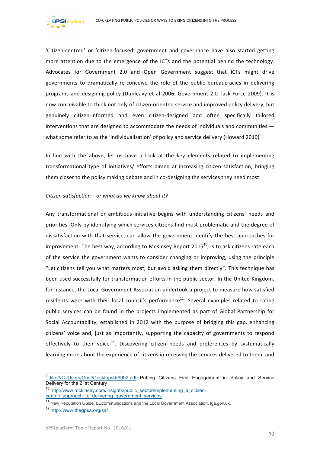

'Citizen-centred' or 'citizen-focused' government and governance have also started getting more attention due to the emergence of the ICTs and the potential behind the technology. Advocates for Government 2.0 and Open Government suggest that ICTs might drive governments to dramatically re-conceive the role of the public bureaucracies in delivering programs and designing policy (Dunleavy et al 2006; Government 2.0 Task Force 2009). It is now conceivable to think not only of citizen-oriented service and improved policy delivery, but genuinely citizen-informed and even citizen-designed and often specifically tailored interventions that are designed to accommodate the needs of individuals and communities  $$ what some refer to as the 'individualisation' of policy and service delivery (Howard 2010)<sup>9</sup>.

In line with the above, let us have a look at the key elements related to implementing transformational type of initiatives/ efforts aimed at increasing citizen satisfaction, bringing them closer to the policy making debate and in co-designing the services they need most:

#### *Citizen satisfaction* – or what do we know about it?

Any transformational or ambitious initiative begins with understanding citizens' needs and priorities. Only by identifying which services citizens find most problematic and the degree of dissatisfaction with that service, can allow the government identify the best approaches for improvement. The best way, according to McKinsey Report 2015<sup>10</sup>, is to ask citizens rate each of the service the government wants to consider changing or improving, using the principle "Let citizens tell you what matters most, but avoid asking them directly". This technique has been used successfully for transformation efforts in the public sector. In the United Kingdom, for instance, the Local Government Association undertook a project to measure how satisfied residents were with their local council's performance<sup>11</sup>. Several examples related to rating public services can be found in the projects implemented as part of Global Partnership for Social Accountability, established in 2012 with the purpose of bridging this gap, enhancing citizens' voice and, just as importantly, supporting the capacity of governments to respond effectively to their voice<sup>12</sup>. Discovering citizen needs and preferences by systematically learning more about the experience of citizens in receiving the services delivered to them, and

file:///C:/Users/Gost/Desktop/459992.pdf Putting Citizens First Engagement in Policy and Service Delivery for the 21st Century

<sup>&</sup>lt;sup>10</sup> http://www.mckinsey.com/insights/public\_sector/implementing\_a\_citizencentric\_approach\_to\_delivering\_government\_services

<sup>&</sup>lt;sup>11</sup> New Reputation Guide, LGcommunications and the Local Government Association, Iga.gov.uk.

<sup>12</sup> http://www.thegpsa.org/sa/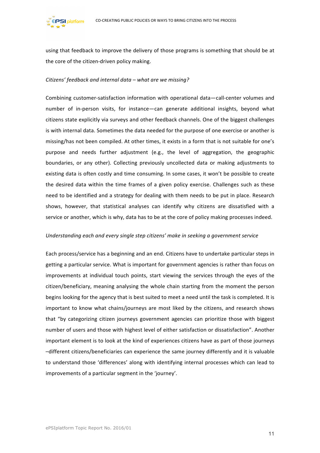

using that feedback to improve the delivery of those programs is something that should be at the core of the citizen-driven policy making.

#### *Citizens' feedback and internal data – what are we missing?*

Combining customer-satisfaction information with operational data—call-center volumes and number of in-person visits, for instance—can generate additional insights, beyond what citizens state explicitly via surveys and other feedback channels. One of the biggest challenges is with internal data. Sometimes the data needed for the purpose of one exercise or another is missing/has not been compiled. At other times, it exists in a form that is not suitable for one's purpose and needs further adjustment (e.g., the level of aggregation, the geographic boundaries, or any other). Collecting previously uncollected data or making adjustments to existing data is often costly and time consuming. In some cases, it won't be possible to create the desired data within the time frames of a given policy exercise. Challenges such as these need to be identified and a strategy for dealing with them needs to be put in place. Research shows, however, that statistical analyses can identify why citizens are dissatisfied with a service or another, which is why, data has to be at the core of policy making processes indeed.

#### Understanding each and every single step *citizens'* make in seeking a government service

Each process/service has a beginning and an end. Citizens have to undertake particular steps in getting a particular service. What is important for government agencies is rather than focus on improvements at individual touch points, start viewing the services through the eyes of the citizen/beneficiary, meaning analysing the whole chain starting from the moment the person begins looking for the agency that is best suited to meet a need until the task is completed. It is important to know what chains/journeys are most liked by the citizens, and research shows that "by categorizing citizen journeys government agencies can prioritize those with biggest number of users and those with highest level of either satisfaction or dissatisfaction". Another important element is to look at the kind of experiences citizens have as part of those journeys -different citizens/beneficiaries can experience the same journey differently and it is valuable to understand those 'differences' along with identifying internal processes which can lead to improvements of a particular segment in the 'journey'.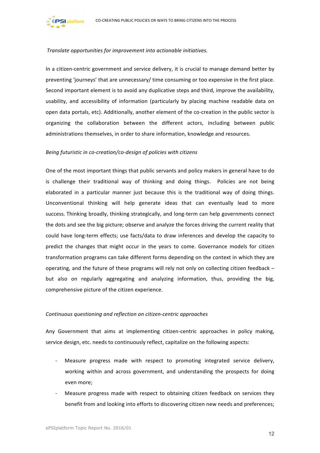#### *Translate opportunities for improvement into actionable initiatives.*

**PSI** platform

In a citizen-centric government and service delivery, it is crucial to manage demand better by preventing 'journeys' that are unnecessary/ time consuming or too expensive in the first place. Second important element is to avoid any duplicative steps and third, improve the availability, usability, and accessibility of information (particularly by placing machine readable data on open data portals, etc). Additionally, another element of the co-creation in the public sector is organizing the collaboration between the different actors, including between public administrations themselves, in order to share information, knowledge and resources.

#### *Being futuristic in co-creation/co-design of policies with citizens*

One of the most important things that public servants and policy makers in general have to do is challenge their traditional way of thinking and doing things. Policies are not being elaborated in a particular manner just because this is the traditional way of doing things. Unconventional thinking will help generate ideas that can eventually lead to more success. Thinking broadly, thinking strategically, and long-term can help governments connect the dots and see the big picture; observe and analyze the forces driving the current reality that could have long-term effects; use facts/data to draw inferences and develop the capacity to predict the changes that might occur in the years to come. Governance models for citizen transformation programs can take different forms depending on the context in which they are operating, and the future of these programs will rely not only on collecting citizen feedback  $$ but also on regularly aggregating and analyzing information, thus, providing the big, comprehensive picture of the citizen experience.

#### *Continuous questioning and reflection on citizen-centric approaches*

Any Government that aims at implementing citizen-centric approaches in policy making, service design, etc. needs to continuously reflect, capitalize on the following aspects:

- Measure progress made with respect to promoting integrated service delivery, working within and across government, and understanding the prospects for doing even more;
- Measure progress made with respect to obtaining citizen feedback on services they benefit from and looking into efforts to discovering citizen new needs and preferences;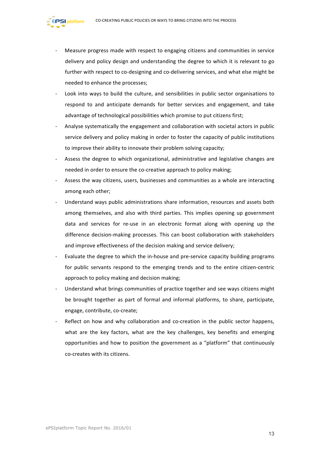

- Measure progress made with respect to engaging citizens and communities in service delivery and policy design and understanding the degree to which it is relevant to go further with respect to co-designing and co-delivering services, and what else might be needed to enhance the processes:
- Look into ways to build the culture, and sensibilities in public sector organisations to respond to and anticipate demands for better services and engagement, and take advantage of technological possibilities which promise to put citizens first;
- Analyse systematically the engagement and collaboration with societal actors in public service delivery and policy making in order to foster the capacity of public institutions to improve their ability to innovate their problem solving capacity;
- Assess the degree to which organizational, administrative and legislative changes are needed in order to ensure the co-creative approach to policy making;
- Assess the way citizens, users, businesses and communities as a whole are interacting among each other;
- Understand ways public administrations share information, resources and assets both among themselves, and also with third parties. This implies opening up government data and services for re-use in an electronic format along with opening up the difference decision-making processes. This can boost collaboration with stakeholders and improve effectiveness of the decision making and service delivery;
- Evaluate the degree to which the in-house and pre-service capacity building programs for public servants respond to the emerging trends and to the entire citizen-centric approach to policy making and decision making;
- Understand what brings communities of practice together and see ways citizens might be brought together as part of formal and informal platforms, to share, participate, engage, contribute, co-create;
- Reflect on how and why collaboration and co-creation in the public sector happens, what are the key factors, what are the key challenges, key benefits and emerging opportunities and how to position the government as a "platform" that continuously co-creates with its citizens.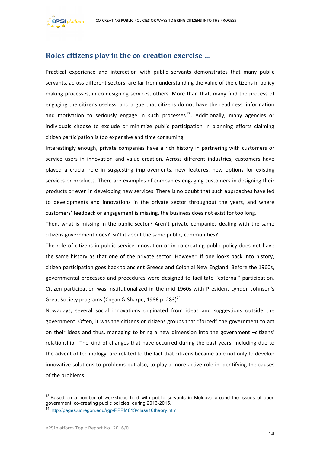



### **Roles citizens play in the co-creation exercise ...**

Practical experience and interaction with public servants demonstrates that many public servants, across different sectors, are far from understanding the value of the citizens in policy making processes, in co-designing services, others. More than that, many find the process of engaging the citizens useless, and argue that citizens do not have the readiness, information and motivation to seriously engage in such processes<sup>13</sup>. Additionally, many agencies or individuals choose to exclude or minimize public participation in planning efforts claiming citizen participation is too expensive and time consuming.

Interestingly enough, private companies have a rich history in partnering with customers or service users in innovation and value creation. Across different industries, customers have played a crucial role in suggesting improvements, new features, new options for existing services or products. There are examples of companies engaging customers in designing their products or even in developing new services. There is no doubt that such approaches have led to developments and innovations in the private sector throughout the years, and where customers' feedback or engagement is missing, the business does not exist for too long.

Then, what is missing in the public sector? Aren't private companies dealing with the same citizens government does? Isn't it about the same public, communities?

The role of citizens in public service innovation or in co-creating public policy does not have the same history as that one of the private sector. However, if one looks back into history, citizen participation goes back to ancient Greece and Colonial New England. Before the 1960s, governmental processes and procedures were designed to facilitate "external" participation. Citizen participation was institutionalized in the mid-1960s with President Lyndon Johnson's Great Society programs (Cogan & Sharpe, 1986 p. 283)<sup>14</sup>.

Nowadays, several social innovations originated from ideas and suggestions outside the government. Often, it was the citizens or citizens groups that "forced" the government to act on their ideas and thus, managing to bring a new dimension into the government -citizens' relationship. The kind of changes that have occurred during the past years, including due to the advent of technology, are related to the fact that citizens became able not only to develop innovative solutions to problems but also, to play a more active role in identifying the causes of the problems.

 $^{13}$  Based on a number of workshops held with public servants in Moldova around the issues of open government, co-creating public policies, during 2013-2015.

<sup>&</sup>lt;sup>14</sup> http://pages.uoregon.edu/rgp/PPPM613/class10theory.htm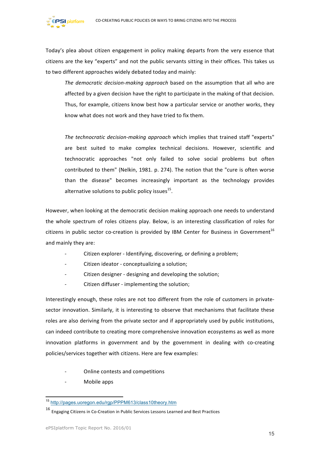Today's plea about citizen engagement in policy making departs from the very essence that citizens are the key "experts" and not the public servants sitting in their offices. This takes us to two different approaches widely debated today and mainly:

*The democratic decision-making approach* based on the assumption that all who are affected by a given decision have the right to participate in the making of that decision. Thus, for example, citizens know best how a particular service or another works, they know what does not work and they have tried to fix them.

The *technocratic decision-making approach* which implies that trained staff "experts" are best suited to make complex technical decisions. However, scientific and technocratic approaches "not only failed to solve social problems but often contributed to them" (Nelkin, 1981. p. 274). The notion that the "cure is often worse than the disease" becomes increasingly important as the technology provides alternative solutions to public policy issues $^{15}$ .

However, when looking at the democratic decision making approach one needs to understand the whole spectrum of roles citizens play. Below, is an interesting classification of roles for citizens in public sector co-creation is provided by IBM Center for Business in Government<sup>16</sup> and mainly they are:

- Citizen explorer Identifying, discovering, or defining a problem;
- Citizen ideator conceptualizing a solution;
- Citizen designer designing and developing the solution;
- Citizen diffuser implementing the solution;

Interestingly enough, these roles are not too different from the role of customers in privatesector innovation. Similarly, it is interesting to observe that mechanisms that facilitate these roles are also deriving from the private sector and if appropriately used by public institutions, can indeed contribute to creating more comprehensive innovation ecosystems as well as more innovation platforms in government and by the government in dealing with co-creating policies/services together with citizens. Here are few examples:

- Online contests and competitions
- Mobile apps

platform

 <sup>15</sup> http://pages.uoregon.edu/rgp/PPPM613/class10theory.htm

 $16$  Engaging Citizens in Co-Creation in Public Services Lessons Learned and Best Practices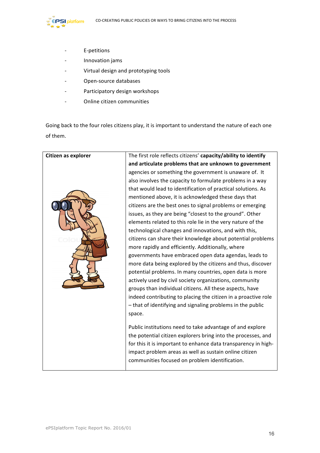

- E-petitions
- Innovation jams
- Virtual design and prototyping tools
- Open-source databases
- Participatory design workshops
- Online citizen communities

Going back to the four roles citizens play, it is important to understand the nature of each one of them.

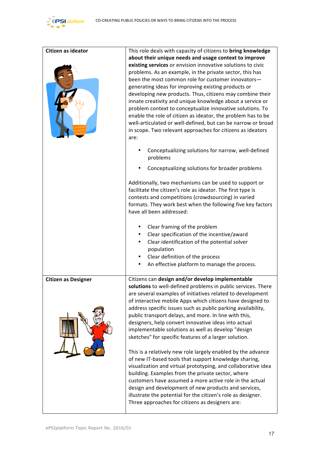

| Citizen as ideator         | This role deals with capacity of citizens to bring knowledge<br>about their unique needs and usage context to improve<br>existing services or envision innovative solutions to civic<br>problems. As an example, in the private sector, this has<br>been the most common role for customer innovators-<br>generating ideas for improving existing products or<br>developing new products. Thus, citizens may combine their<br>innate creativity and unique knowledge about a service or<br>problem context to conceptualize innovative solutions. To<br>enable the role of citizen as ideator, the problem has to be<br>well-articulated or well-defined, but can be narrow or broad                                                                                                                                                                   |  |
|----------------------------|--------------------------------------------------------------------------------------------------------------------------------------------------------------------------------------------------------------------------------------------------------------------------------------------------------------------------------------------------------------------------------------------------------------------------------------------------------------------------------------------------------------------------------------------------------------------------------------------------------------------------------------------------------------------------------------------------------------------------------------------------------------------------------------------------------------------------------------------------------|--|
|                            | in scope. Two relevant approaches for citizens as ideators<br>are:<br>Conceptualizing solutions for narrow, well-defined<br>problems<br>Conceptualizing solutions for broader problems                                                                                                                                                                                                                                                                                                                                                                                                                                                                                                                                                                                                                                                                 |  |
|                            | Additionally, two mechanisms can be used to support or<br>facilitate the citizen's role as ideator. The first type is<br>contests and competitions (crowdsourcing) in varied<br>formats. They work best when the following five key factors<br>have all been addressed:                                                                                                                                                                                                                                                                                                                                                                                                                                                                                                                                                                                |  |
|                            | Clear framing of the problem<br>Clear specification of the incentive/award<br>Clear identification of the potential solver<br>population<br>Clear definition of the process<br>An effective platform to manage the process.<br>٠                                                                                                                                                                                                                                                                                                                                                                                                                                                                                                                                                                                                                       |  |
| <b>Citizen as Designer</b> | Citizens can design and/or develop implementable<br>solutions to well-defined problems in public services. There<br>are several examples of initiatives related to development<br>of interactive mobile Apps which citizens have designed to<br>address specific issues such as public parking availability,<br>public transport delays, and more. In line with this,<br>designers, help convert innovative ideas into actual<br>implementable solutions as well as develop "design<br>sketches" for specific features of a larger solution.<br>This is a relatively new role largely enabled by the advance<br>of new IT-based tools that support knowledge sharing,<br>visualization and virtual prototyping, and collaborative idea<br>building. Examples from the private sector, where<br>customers have assumed a more active role in the actual |  |
|                            | design and development of new products and services,<br>illustrate the potential for the citizen's role as designer.<br>Three approaches for citizens as designers are:                                                                                                                                                                                                                                                                                                                                                                                                                                                                                                                                                                                                                                                                                |  |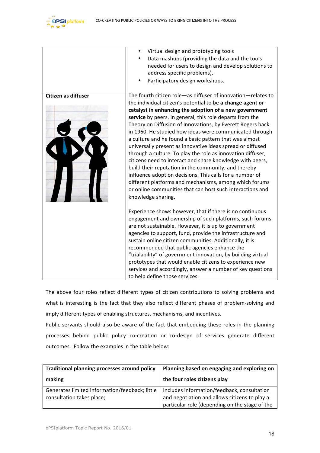

|                            | Virtual design and prototyping tools                         |
|----------------------------|--------------------------------------------------------------|
|                            | Data mashups (providing the data and the tools               |
|                            | needed for users to design and develop solutions to          |
|                            | address specific problems).                                  |
|                            | Participatory design workshops.                              |
| <b>Citizen as diffuser</b> | The fourth citizen role-as diffuser of innovation-relates to |
|                            | the individual citizen's potential to be a change agent or   |
|                            | catalyst in enhancing the adoption of a new government       |
|                            | service by peers. In general, this role departs from the     |
|                            | Theory on Diffusion of Innovations, by Everett Rogers back   |
|                            | in 1960. He studied how ideas were communicated through      |
|                            | a culture and he found a basic pattern that was almost       |
|                            | universally present as innovative ideas spread or diffused   |
|                            | through a culture. To play the role as innovation diffuser,  |
|                            | citizens need to interact and share knowledge with peers,    |
|                            | build their reputation in the community, and thereby         |
|                            | influence adoption decisions. This calls for a number of     |
|                            | different platforms and mechanisms, among which forums       |
|                            | or online communities that can host such interactions and    |
|                            | knowledge sharing.                                           |
|                            | Experience shows however, that if there is no continuous     |
|                            | engagement and ownership of such platforms, such forums      |
|                            | are not sustainable. However, it is up to government         |
|                            | agencies to support, fund, provide the infrastructure and    |
|                            | sustain online citizen communities. Additionally, it is      |
|                            | recommended that public agencies enhance the                 |
|                            | "trialability" of government innovation, by building virtual |
|                            | prototypes that would enable citizens to experience new      |
|                            | services and accordingly, answer a number of key questions   |
|                            | to help define those services.                               |

The above four roles reflect different types of citizen contributions to solving problems and what is interesting is the fact that they also reflect different phases of problem-solving and imply different types of enabling structures, mechanisms, and incentives.

Public servants should also be aware of the fact that embedding these roles in the planning processes behind public policy co-creation or co-design of services generate different outcomes. Follow the examples in the table below:

| Traditional planning processes around policy                                | Planning based on engaging and exploring on                                                                                                    |
|-----------------------------------------------------------------------------|------------------------------------------------------------------------------------------------------------------------------------------------|
| making                                                                      | the four roles citizens play                                                                                                                   |
| Generates limited information/feedback; little<br>consultation takes place; | Includes information/feedback, consultation<br>and negotiation and allows citizens to play a<br>particular role (depending on the stage of the |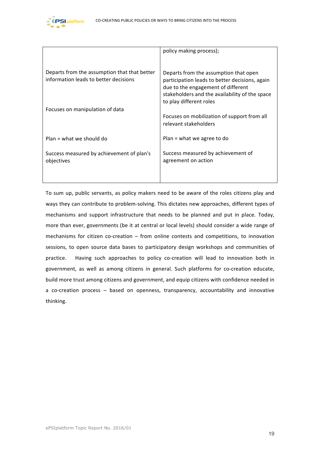

|                                                                                       | policy making process);                                                                                                                                                                                    |
|---------------------------------------------------------------------------------------|------------------------------------------------------------------------------------------------------------------------------------------------------------------------------------------------------------|
| Departs from the assumption that that better<br>information leads to better decisions | Departs from the assumption that open<br>participation leads to better decisions, again<br>due to the engagement of different<br>stakeholders and the availability of the space<br>to play different roles |
| Focuses on manipulation of data                                                       | Focuses on mobilization of support from all<br>relevant stakeholders                                                                                                                                       |
| $Plan = what we should do$                                                            | Plan = what we agree to do                                                                                                                                                                                 |
| Success measured by achievement of plan's<br>objectives                               | Success measured by achievement of<br>agreement on action                                                                                                                                                  |

To sum up, public servants, as policy makers need to be aware of the roles citizens play and ways they can contribute to problem-solving. This dictates new approaches, different types of mechanisms and support infrastructure that needs to be planned and put in place. Today, more than ever, governments (be it at central or local levels) should consider a wide range of mechanisms for citizen co-creation  $-$  from online contests and competitions, to innovation sessions, to open source data bases to participatory design workshops and communities of practice. Having such approaches to policy co-creation will lead to innovation both in government, as well as among citizens in general. Such platforms for co-creation educate, build more trust among citizens and government, and equip citizens with confidence needed in a co-creation process - based on openness, transparency, accountability and innovative thinking.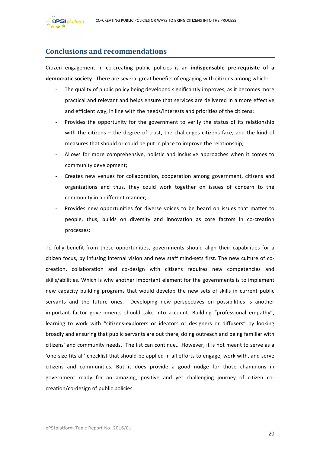

## **Conclusions and recommendations**

Citizen engagement in co-creating public policies is an **indispensable pre-requisite of a democratic society**. There are several great benefits of engaging with citizens among which:

- The quality of public policy being developed significantly improves, as it becomes more practical and relevant and helps ensure that services are delivered in a more effective and efficient way, in line with the needs/interests and priorities of the citizens;
- Provides the opportunity for the government to verify the status of its relationship with the citizens  $-$  the degree of trust, the challenges citizens face, and the kind of measures that should or could be put in place to improve the relationship;
- Allows for more comprehensive, holistic and inclusive approaches when it comes to community development;
- Creates new venues for collaboration, cooperation among government, citizens and organizations and thus, they could work together on issues of concern to the community in a different manner;
- Provides new opportunities for diverse voices to be heard on issues that matter to people, thus, builds on diversity and innovation as core factors in co-creation processes;

To fully benefit from these opportunities, governments should align their capabilities for a citizen focus, by infusing internal vision and new staff mind-sets first. The new culture of cocreation, collaboration and co-design with citizens requires new competencies and skills/abilities. Which is why another important element for the governments is to implement new capacity building programs that would develop the new sets of skills in current public servants and the future ones. Developing new perspectives on possibilities is another important factor governments should take into account. Building "professional empathy", learning to work with "citizens-explorers or ideators or designers or diffusers" by looking broadly and ensuring that public servants are out there, doing outreach and being familiar with citizens' and community needs. The list can continue... However, it is not meant to serve as a 'one-size-fits-all' checklist that should be applied in all efforts to engage, work with, and serve citizens and communities. But it does provide a good nudge for those champions in government ready for an amazing, positive and yet challenging journey of citizen cocreation/co-design of public policies.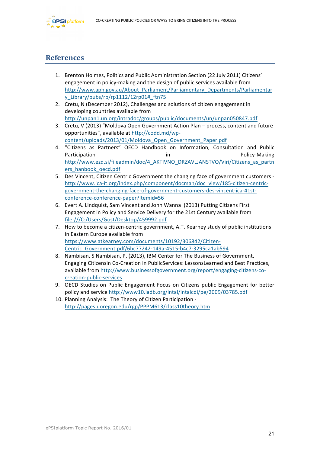

## **References**

- 1. Brenton Holmes, Politics and Public Administration Section (22 July 2011) Citizens' engagement in policy-making and the design of public services available from http://www.aph.gov.au/About\_Parliament/Parliamentary\_Departments/Parliamentar y\_Library/pubs/rp/rp1112/12rp01#\_ftn75
- 2. Cretu, N (December 2012), Challenges and solutions of citizen engagement in developing countries available from http://unpan1.un.org/intradoc/groups/public/documents/un/unpan050847.pdf
- 3. Cretu, V (2013) "Moldova Open Government Action Plan process, content and future opportunities", available at http://codd.md/wpcontent/uploads/2013/01/Moldova\_Open\_Government\_Paper.pdf
- 4. "Citizens as Partners" OECD Handbook on Information, Consultation and Public Participation **in** and in the policy-Making policy-Making http://www.ezd.si/fileadmin/doc/4\_AKTIVNO\_DRZAVLJANSTVO/Viri/Citizens\_as\_partn ers\_hanbook\_oecd.pdf
- 5. Des Vincent, Citizen Centric Government the changing face of government customers http://www.ica-it.org/index.php/component/docman/doc\_view/185-citizen-centricgovernment-the-changing-face-of-government-customers-des-vincent-ica-41stconference-conference-paper?Itemid=56
- 6. Evert A. Lindquist, Sam Vincent and John Wanna (2013) Putting Citizens First Engagement in Policy and Service Delivery for the 21st Century available from file:///C:/Users/Gost/Desktop/459992.pdf
- 7. How to become a citizen-centric government, A.T. Kearney study of public institutions in Eastern Europe available from https://www.atkearney.com/documents/10192/306842/Citizen-Centric\_Government.pdf/6bc77242-149a-4515-b4c7-3295ca1ab594
- 8. Nambisan, S Nambisan, P, (2013), IBM Center for The Business of Government, Engaging Citizensin Co-Creation in PublicServices: LessonsLearned and Best Practices, available from http://www.businessofgovernment.org/report/engaging-citizens-cocreation-public-services
- 9. OECD Studies on Public Engagement Focus on Citizens public Engagement for better policy and service http://www10.iadb.org/intal/intalcdi/pe/2009/03785.pdf
- 10. Planning Analysis: The Theory of Citizen Participation http://pages.uoregon.edu/rgp/PPPM613/class10theory.htm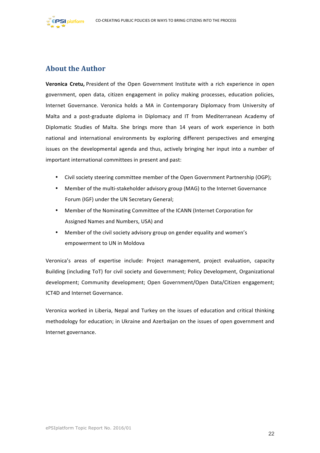

## **About the Author**

**Veronica Cretu,** President of the Open Government Institute with a rich experience in open government, open data, citizen engagement in policy making processes, education policies, Internet Governance. Veronica holds a MA in Contemporary Diplomacy from University of Malta and a post-graduate diploma in Diplomacy and IT from Mediterranean Academy of Diplomatic Studies of Malta. She brings more than 14 years of work experience in both national and international environments by exploring different perspectives and emerging issues on the developmental agenda and thus, actively bringing her input into a number of important international committees in present and past:

- Civil society steering committee member of the Open Government Partnership (OGP);
- Member of the multi-stakeholder advisory group (MAG) to the Internet Governance Forum (IGF) under the UN Secretary General;
- Member of the Nominating Committee of the ICANN (Internet Corporation for Assigned Names and Numbers, USA) and
- Member of the civil society advisory group on gender equality and women's empowerment to UN in Moldova

Veronica's areas of expertise include: Project management, project evaluation, capacity Building (including ToT) for civil society and Government; Policy Development, Organizational development; Community development; Open Government/Open Data/Citizen engagement; ICT4D and Internet Governance. 

Veronica worked in Liberia, Nepal and Turkey on the issues of education and critical thinking methodology for education; in Ukraine and Azerbaijan on the issues of open government and Internet governance.